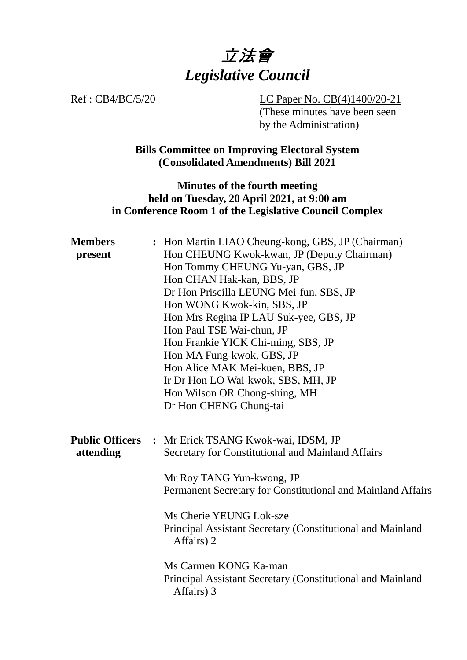

Ref : CB4/BC/5/20 LC Paper No. CB(4)1400/20-21 (These minutes have been seen by the Administration)

> **Bills Committee on Improving Electoral System (Consolidated Amendments) Bill 2021**

## **Minutes of the fourth meeting held on Tuesday, 20 April 2021, at 9:00 am in Conference Room 1 of the Legislative Council Complex**

| <b>Members</b><br>present           | : Hon Martin LIAO Cheung-kong, GBS, JP (Chairman)<br>Hon CHEUNG Kwok-kwan, JP (Deputy Chairman)<br>Hon Tommy CHEUNG Yu-yan, GBS, JP<br>Hon CHAN Hak-kan, BBS, JP<br>Dr Hon Priscilla LEUNG Mei-fun, SBS, JP<br>Hon WONG Kwok-kin, SBS, JP<br>Hon Mrs Regina IP LAU Suk-yee, GBS, JP<br>Hon Paul TSE Wai-chun, JP<br>Hon Frankie YICK Chi-ming, SBS, JP<br>Hon MA Fung-kwok, GBS, JP<br>Hon Alice MAK Mei-kuen, BBS, JP<br>Ir Dr Hon LO Wai-kwok, SBS, MH, JP<br>Hon Wilson OR Chong-shing, MH<br>Dr Hon CHENG Chung-tai |
|-------------------------------------|-------------------------------------------------------------------------------------------------------------------------------------------------------------------------------------------------------------------------------------------------------------------------------------------------------------------------------------------------------------------------------------------------------------------------------------------------------------------------------------------------------------------------|
| <b>Public Officers</b><br>attending | : Mr Erick TSANG Kwok-wai, IDSM, JP<br>Secretary for Constitutional and Mainland Affairs<br>Mr Roy TANG Yun-kwong, JP<br>Permanent Secretary for Constitutional and Mainland Affairs<br>Ms Cherie YEUNG Lok-sze<br>Principal Assistant Secretary (Constitutional and Mainland<br>Affairs) 2<br>Ms Carmen KONG Ka-man<br>Principal Assistant Secretary (Constitutional and Mainland<br>Affairs) 3                                                                                                                        |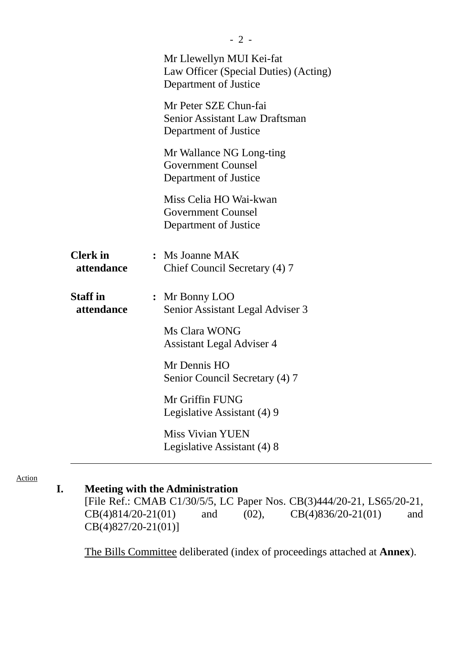|                               | Mr Llewellyn MUI Kei-fat<br>Law Officer (Special Duties) (Acting)<br>Department of Justice |
|-------------------------------|--------------------------------------------------------------------------------------------|
|                               | Mr Peter SZE Chun-fai<br><b>Senior Assistant Law Draftsman</b><br>Department of Justice    |
|                               | Mr Wallance NG Long-ting<br><b>Government Counsel</b><br>Department of Justice             |
|                               | Miss Celia HO Wai-kwan<br><b>Government Counsel</b><br>Department of Justice               |
| <b>Clerk</b> in<br>attendance | : Ms Joanne MAK<br>Chief Council Secretary (4) 7                                           |
| <b>Staff</b> in<br>attendance | : Mr Bonny LOO<br>Senior Assistant Legal Adviser 3                                         |
|                               | Ms Clara WONG<br>Assistant Legal Adviser 4                                                 |
|                               | Mr Dennis HO<br>Senior Council Secretary (4) 7                                             |
|                               | Mr Griffin FUNG<br>Legislative Assistant (4) 9                                             |
|                               | <b>Miss Vivian YUEN</b><br>Legislative Assistant (4) 8                                     |

#### Action

# **I. Meeting with the Administration**

[File Ref.: CMAB C1/30/5/5, LC Paper Nos. CB(3)444/20-21, LS65/20-21, CB(4)814/20-21(01) and (02), CB(4)836/20-21(01) and CB(4)827/20-21(01)]

1. The Bills Committee deliberated (index of proceedings attached at **Annex**).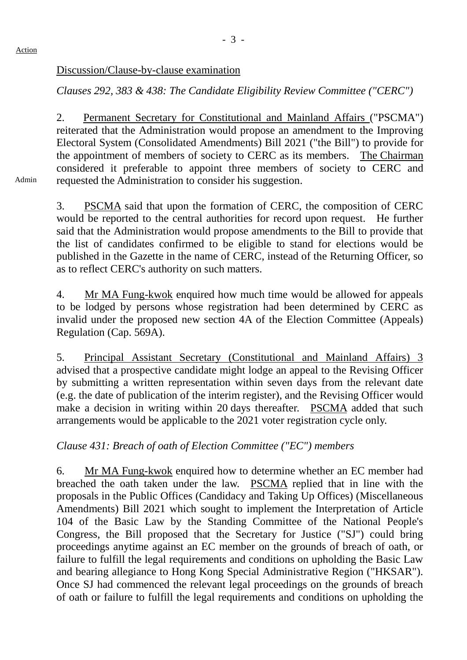#### Discussion/Clause-by-clause examination

*Clauses 292, 383 & 438: The Candidate Eligibility Review Committee ("CERC")*

2. Permanent Secretary for Constitutional and Mainland Affairs ("PSCMA") reiterated that the Administration would propose an amendment to the Improving Electoral System (Consolidated Amendments) Bill 2021 ("the Bill") to provide for the appointment of members of society to CERC as its members. The Chairman considered it preferable to appoint three members of society to CERC and requested the Administration to consider his suggestion.

Admin

3. PSCMA said that upon the formation of CERC, the composition of CERC would be reported to the central authorities for record upon request. He further said that the Administration would propose amendments to the Bill to provide that the list of candidates confirmed to be eligible to stand for elections would be published in the Gazette in the name of CERC, instead of the Returning Officer, so as to reflect CERC's authority on such matters.

4. Mr MA Fung-kwok enquired how much time would be allowed for appeals to be lodged by persons whose registration had been determined by CERC as invalid under the proposed new section 4A of the Election Committee (Appeals) Regulation (Cap. 569A).

5. Principal Assistant Secretary (Constitutional and Mainland Affairs) 3 advised that a prospective candidate might lodge an appeal to the Revising Officer by submitting a written representation within seven days from the relevant date (e.g. the date of publication of the interim register), and the Revising Officer would make a decision in writing within 20 days thereafter. PSCMA added that such arrangements would be applicable to the 2021 voter registration cycle only.

### *Clause 431: Breach of oath of Election Committee ("EC") members*

6. Mr MA Fung-kwok enquired how to determine whether an EC member had breached the oath taken under the law. PSCMA replied that in line with the proposals in the Public Offices (Candidacy and Taking Up Offices) (Miscellaneous Amendments) Bill 2021 which sought to implement the Interpretation of Article 104 of the Basic Law by the Standing Committee of the National People's Congress, the Bill proposed that the Secretary for Justice ("SJ") could bring proceedings anytime against an EC member on the grounds of breach of oath, or failure to fulfill the legal requirements and conditions on upholding the Basic Law and bearing allegiance to Hong Kong Special Administrative Region ("HKSAR"). Once SJ had commenced the relevant legal proceedings on the grounds of breach of oath or failure to fulfill the legal requirements and conditions on upholding the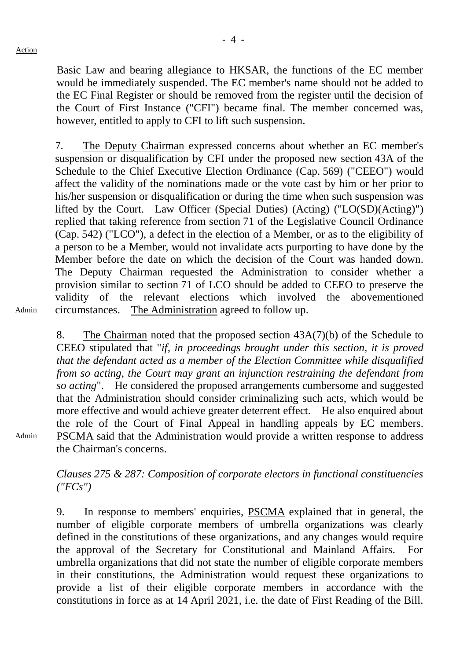Basic Law and bearing allegiance to HKSAR, the functions of the EC member would be immediately suspended. The EC member's name should not be added to the EC Final Register or should be removed from the register until the decision of the Court of First Instance ("CFI") became final. The member concerned was, however, entitled to apply to CFI to lift such suspension.

7. The Deputy Chairman expressed concerns about whether an EC member's suspension or disqualification by CFI under the proposed new section 43A of the Schedule to the Chief Executive Election Ordinance (Cap. 569) ("CEEO") would affect the validity of the nominations made or the vote cast by him or her prior to his/her suspension or disqualification or during the time when such suspension was lifted by the Court. Law Officer (Special Duties) (Acting) ("LO(SD)(Acting)") replied that taking reference from section 71 of the Legislative Council Ordinance (Cap. 542) ("LCO"), a defect in the election of a Member, or as to the eligibility of a person to be a Member, would not invalidate acts purporting to have done by the Member before the date on which the decision of the Court was handed down. The Deputy Chairman requested the Administration to consider whether a provision similar to section 71 of LCO should be added to CEEO to preserve the validity of the relevant elections which involved the abovementioned circumstances. The Administration agreed to follow up.

Admin

8. The Chairman noted that the proposed section 43A(7)(b) of the Schedule to CEEO stipulated that "*if, in proceedings brought under this section, it is proved that the defendant acted as a member of the Election Committee while disqualified from so acting, the Court may grant an injunction restraining the defendant from so acting*". He considered the proposed arrangements cumbersome and suggested that the Administration should consider criminalizing such acts, which would be more effective and would achieve greater deterrent effect. He also enquired about the role of the Court of Final Appeal in handling appeals by EC members. PSCMA said that the Administration would provide a written response to address the Chairman's concerns.

Admin

*Clauses 275 & 287: Composition of corporate electors in functional constituencies ("FCs")*

9. In response to members' enquiries, PSCMA explained that in general, the number of eligible corporate members of umbrella organizations was clearly defined in the constitutions of these organizations, and any changes would require the approval of the Secretary for Constitutional and Mainland Affairs. For umbrella organizations that did not state the number of eligible corporate members in their constitutions, the Administration would request these organizations to provide a list of their eligible corporate members in accordance with the constitutions in force as at 14 April 2021, i.e. the date of First Reading of the Bill.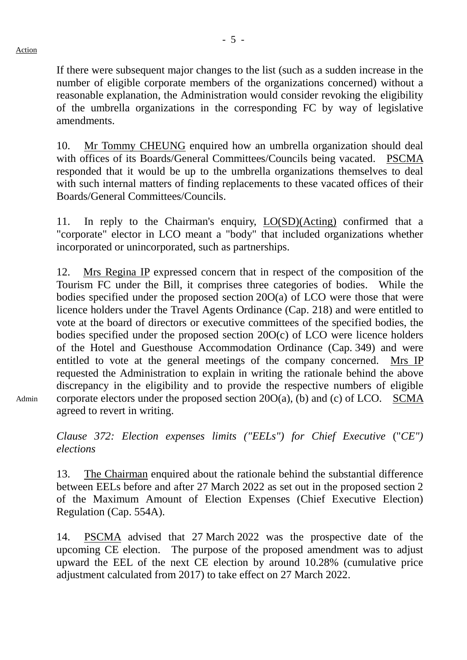If there were subsequent major changes to the list (such as a sudden increase in the number of eligible corporate members of the organizations concerned) without a reasonable explanation, the Administration would consider revoking the eligibility of the umbrella organizations in the corresponding FC by way of legislative amendments.

10. Mr Tommy CHEUNG enquired how an umbrella organization should deal with offices of its Boards/General Committees/Councils being vacated. PSCMA responded that it would be up to the umbrella organizations themselves to deal with such internal matters of finding replacements to these vacated offices of their Boards/General Committees/Councils.

11. In reply to the Chairman's enquiry, LO(SD)(Acting) confirmed that a "corporate" elector in LCO meant a "body" that included organizations whether incorporated or unincorporated, such as partnerships.

12. Mrs Regina IP expressed concern that in respect of the composition of the Tourism FC under the Bill, it comprises three categories of bodies. While the bodies specified under the proposed section 20O(a) of LCO were those that were licence holders under the Travel Agents Ordinance (Cap. 218) and were entitled to vote at the board of directors or executive committees of the specified bodies, the bodies specified under the proposed section 20O(c) of LCO were licence holders of the Hotel and Guesthouse Accommodation Ordinance (Cap. 349) and were entitled to vote at the general meetings of the company concerned. Mrs IP requested the Administration to explain in writing the rationale behind the above discrepancy in the eligibility and to provide the respective numbers of eligible corporate electors under the proposed section  $20O(a)$ , (b) and (c) of LCO. SCMA agreed to revert in writing.

Admin

*Clause 372: Election expenses limits ("EELs") for Chief Executive* ("*CE") elections*

13. The Chairman enquired about the rationale behind the substantial difference between EELs before and after 27 March 2022 as set out in the proposed section 2 of the Maximum Amount of Election Expenses (Chief Executive Election) Regulation (Cap. 554A).

14. PSCMA advised that 27 March 2022 was the prospective date of the upcoming CE election. The purpose of the proposed amendment was to adjust upward the EEL of the next CE election by around 10.28% (cumulative price adjustment calculated from 2017) to take effect on 27 March 2022.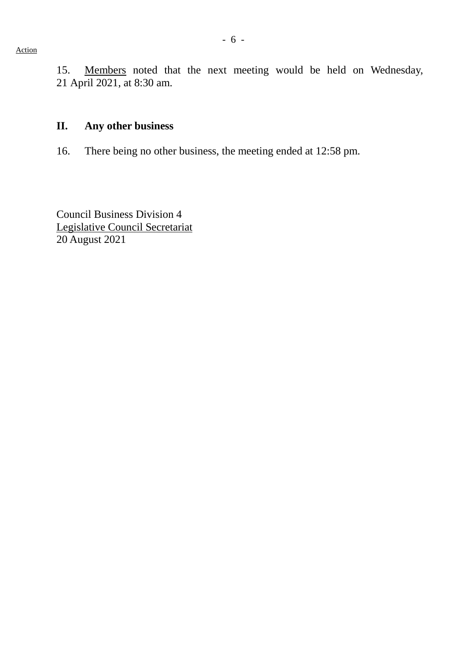15. Members noted that the next meeting would be held on Wednesday, 21 April 2021, at 8:30 am.

#### **II. Any other business**

16. There being no other business, the meeting ended at 12:58 pm.

Council Business Division 4 Legislative Council Secretariat 20 August 2021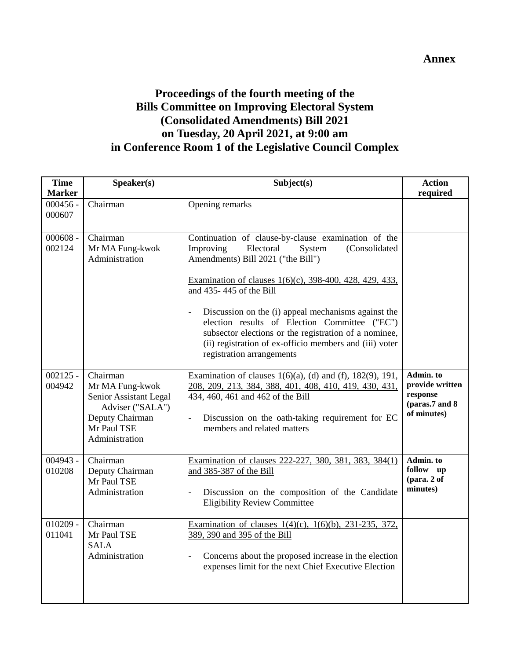# **Proceedings of the fourth meeting of the Bills Committee on Improving Electoral System (Consolidated Amendments) Bill 2021 on Tuesday, 20 April 2021, at 9:00 am in Conference Room 1 of the Legislative Council Complex**

| <b>Time</b>                           | Speaker(s)                                                                                                                    | Subject(s)                                                                                                                                                                                                                                                                                                                                                                                                                                                                                    | <b>Action</b>                                                              |
|---------------------------------------|-------------------------------------------------------------------------------------------------------------------------------|-----------------------------------------------------------------------------------------------------------------------------------------------------------------------------------------------------------------------------------------------------------------------------------------------------------------------------------------------------------------------------------------------------------------------------------------------------------------------------------------------|----------------------------------------------------------------------------|
| <b>Marker</b><br>$000456 -$<br>000607 | Chairman                                                                                                                      | Opening remarks                                                                                                                                                                                                                                                                                                                                                                                                                                                                               | required                                                                   |
| $000608 -$<br>002124                  | Chairman<br>Mr MA Fung-kwok<br>Administration                                                                                 | Continuation of clause-by-clause examination of the<br>Improving<br>Electoral<br>(Consolidated<br>System<br>Amendments) Bill 2021 ("the Bill")<br>Examination of clauses 1(6)(c), 398-400, 428, 429, 433,<br>and 435-445 of the Bill<br>Discussion on the (i) appeal mechanisms against the<br>election results of Election Committee ("EC")<br>subsector elections or the registration of a nominee,<br>(ii) registration of ex-officio members and (iii) voter<br>registration arrangements |                                                                            |
| $002125 -$<br>004942                  | Chairman<br>Mr MA Fung-kwok<br>Senior Assistant Legal<br>Adviser ("SALA")<br>Deputy Chairman<br>Mr Paul TSE<br>Administration | Examination of clauses $1(6)(a)$ , (d) and (f), $182(9)$ , $191$ ,<br>208, 209, 213, 384, 388, 401, 408, 410, 419, 430, 431,<br>434, 460, 461 and 462 of the Bill<br>Discussion on the oath-taking requirement for EC<br>$\overline{a}$<br>members and related matters                                                                                                                                                                                                                        | Admin. to<br>provide written<br>response<br>(paras.7 and 8)<br>of minutes) |
| $004943 -$<br>010208                  | Chairman<br>Deputy Chairman<br>Mr Paul TSE<br>Administration                                                                  | Examination of clauses 222-227, 380, 381, 383, 384(1)<br>and 385-387 of the Bill<br>Discussion on the composition of the Candidate<br>$\overline{\phantom{0}}$<br><b>Eligibility Review Committee</b>                                                                                                                                                                                                                                                                                         | Admin. to<br>follow up<br>(para. 2 of<br>minutes)                          |
| $010209 -$<br>011041                  | Chairman<br>Mr Paul TSE<br><b>SALA</b><br>Administration                                                                      | Examination of clauses 1(4)(c), 1(6)(b), 231-235, 372,<br>389, 390 and 395 of the Bill<br>Concerns about the proposed increase in the election<br>$\frac{1}{2}$<br>expenses limit for the next Chief Executive Election                                                                                                                                                                                                                                                                       |                                                                            |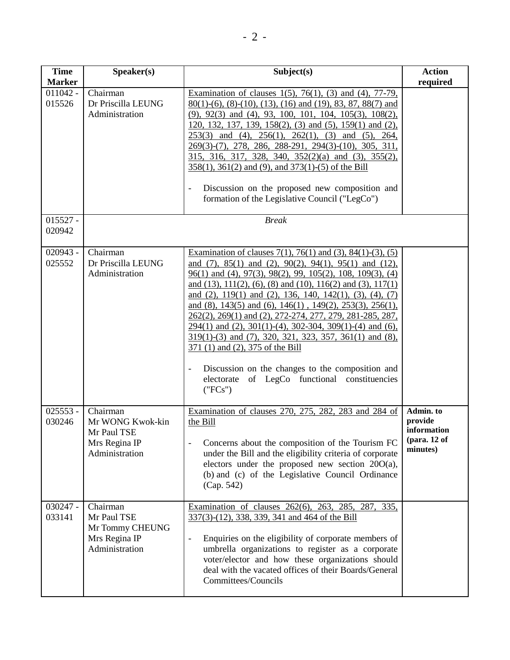| <b>Time</b><br><b>Marker</b> | Speaker(s)                                                                     | Subject(s)                                                                                                                                                                                                                                                                                                                                                                                                                                                                                                                                                                                                                                                                                                                                                     | <b>Action</b><br>required                                            |
|------------------------------|--------------------------------------------------------------------------------|----------------------------------------------------------------------------------------------------------------------------------------------------------------------------------------------------------------------------------------------------------------------------------------------------------------------------------------------------------------------------------------------------------------------------------------------------------------------------------------------------------------------------------------------------------------------------------------------------------------------------------------------------------------------------------------------------------------------------------------------------------------|----------------------------------------------------------------------|
| $011042 -$<br>015526         | Chairman<br>Dr Priscilla LEUNG<br>Administration                               | Examination of clauses $1(5)$ , $76(1)$ , $(3)$ and $(4)$ , $77-79$ ,<br>$80(1)$ -(6), (8)-(10), (13), (16) and (19), 83, 87, 88(7) and<br>$(9)$ , $92(3)$ and $(4)$ , $93$ , $100$ , $101$ , $104$ , $105(3)$ , $108(2)$ ,<br>120, 132, 137, 139, 158(2), (3) and (5), 159(1) and (2),<br>$253(3)$ and (4), $256(1)$ , $262(1)$ , (3) and (5), 264,<br>269(3)-(7), 278, 286, 288-291, 294(3)-(10), 305, 311,<br>315, 316, 317, 328, 340, 352(2)(a) and (3), 355(2),<br>358(1), 361(2) and (9), and 373(1)-(5) of the Bill<br>Discussion on the proposed new composition and<br>formation of the Legislative Council ("LegCo")                                                                                                                                 |                                                                      |
| $015527 -$<br>020942         |                                                                                | <b>Break</b>                                                                                                                                                                                                                                                                                                                                                                                                                                                                                                                                                                                                                                                                                                                                                   |                                                                      |
| $020943 -$<br>025552         | Chairman<br>Dr Priscilla LEUNG<br>Administration                               | Examination of clauses $7(1)$ , $76(1)$ and $(3)$ , $84(1)-(3)$ , $(5)$<br>and $(7)$ , $85(1)$ and $(2)$ , $90(2)$ , $94(1)$ , $95(1)$ and $(12)$ ,<br>96(1) and (4), 97(3), 98(2), 99, 105(2), 108, 109(3), (4)<br>and (13), 111(2), (6), (8) and (10), 116(2) and (3), 117(1)<br>and $(2)$ , 119(1) and $(2)$ , 136, 140, 142(1), (3), (4), (7)<br>and (8), 143(5) and (6), 146(1), 149(2), 253(3), 256(1),<br>262(2), 269(1) and (2), 272-274, 277, 279, 281-285, 287,<br>$294(1)$ and (2), $301(1)-(4)$ , $302-304$ , $309(1)-(4)$ and (6),<br>319(1)-(3) and (7), 320, 321, 323, 357, 361(1) and (8),<br>371 (1) and (2), 375 of the Bill<br>Discussion on the changes to the composition and<br>electorate of LegCo functional constituencies<br>("FCs") |                                                                      |
| $025553 -$<br>030246         | Chairman<br>Mr WONG Kwok-kin<br>Mr Paul TSE<br>Mrs Regina IP<br>Administration | Examination of clauses 270, 275, 282, 283 and 284 of<br>the Bill<br>Concerns about the composition of the Tourism FC<br>under the Bill and the eligibility criteria of corporate<br>electors under the proposed new section $20O(a)$ ,<br>(b) and (c) of the Legislative Council Ordinance<br>(Cap. 542)                                                                                                                                                                                                                                                                                                                                                                                                                                                       | Admin. to<br>provide<br>information<br>$12$ (para. 12 of<br>minutes) |
| $030247 -$<br>033141         | Chairman<br>Mr Paul TSE<br>Mr Tommy CHEUNG<br>Mrs Regina IP<br>Administration  | Examination of clauses 262(6), 263, 285, 287, 335,<br>337(3)-(12), 338, 339, 341 and 464 of the Bill<br>Enquiries on the eligibility of corporate members of<br>$\qquad \qquad \blacksquare$<br>umbrella organizations to register as a corporate<br>voter/elector and how these organizations should<br>deal with the vacated offices of their Boards/General<br>Committees/Councils                                                                                                                                                                                                                                                                                                                                                                          |                                                                      |